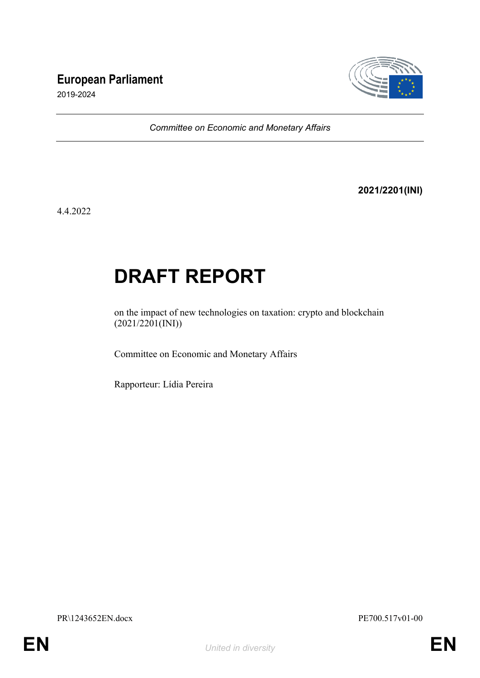# **European Parliament**



2019-2024

*Committee on Economic and Monetary Affairs*

## **2021/2201(INI)**

4.4.2022

# **DRAFT REPORT**

on the impact of new technologies on taxation: crypto and blockchain (2021/2201(INI))

Committee on Economic and Monetary Affairs

Rapporteur: Lídia Pereira

PR\1243652EN.docx PE700.517v01-00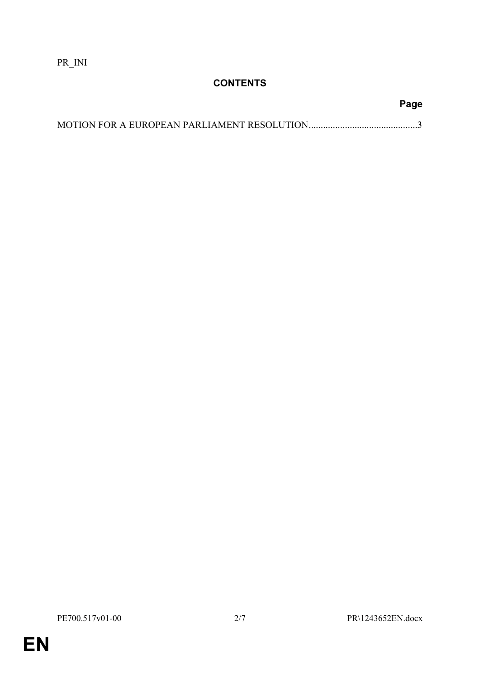PR\_INI

# **CONTENTS**

**EN**

**Page**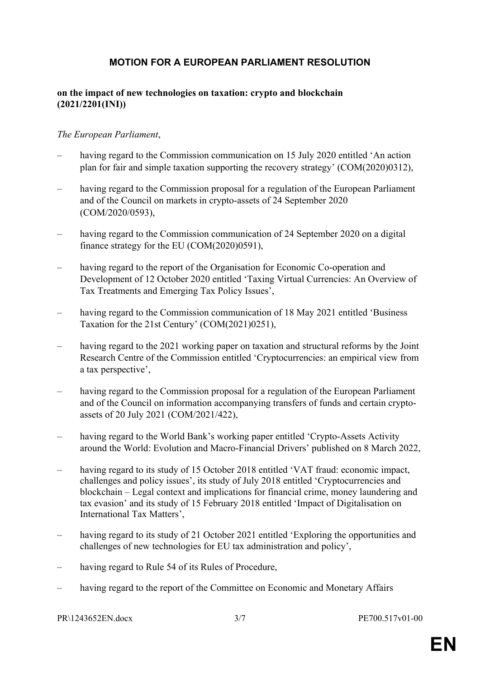# <span id="page-2-0"></span>**MOTION FOR A EUROPEAN PARLIAMENT RESOLUTION**

#### **on the impact of new technologies on taxation: crypto and blockchain (2021/2201(INI))**

#### *The European Parliament*,

- having regard to the Commission communication on 15 July 2020 entitled 'An action plan for fair and simple taxation supporting the recovery strategy' (COM(2020)0312),
- having regard to the Commission proposal for a regulation of the European Parliament and of the Council on markets in crypto-assets of 24 September 2020 (COM/2020/0593),
- having regard to the Commission communication of 24 September 2020 on a digital finance strategy for the EU (COM(2020)0591),
- having regard to the report of the Organisation for Economic Co-operation and Development of 12 October 2020 entitled 'Taxing Virtual Currencies: An Overview of Tax Treatments and Emerging Tax Policy Issues',
- having regard to the Commission communication of 18 May 2021 entitled 'Business Taxation for the 21st Century' (COM(2021)0251),
- having regard to the 2021 working paper on taxation and structural reforms by the Joint Research Centre of the Commission entitled 'Cryptocurrencies: an empirical view from a tax perspective',
- having regard to the Commission proposal for a regulation of the European Parliament and of the Council on information accompanying transfers of funds and certain cryptoassets of 20 July 2021 (COM/2021/422),
- having regard to the World Bank's working paper entitled 'Crypto-Assets Activity around the World: Evolution and Macro-Financial Drivers' published on 8 March 2022,
- having regard to its study of 15 October 2018 entitled 'VAT fraud: economic impact, challenges and policy issues', its study of July 2018 entitled 'Cryptocurrencies and blockchain – Legal context and implications for financial crime, money laundering and tax evasion' and its study of 15 February 2018 entitled 'Impact of Digitalisation on International Tax Matters',
- having regard to its study of 21 October 2021 entitled 'Exploring the opportunities and challenges of new technologies for EU tax administration and policy',
- having regard to Rule 54 of its Rules of Procedure,
- having regard to the report of the Committee on Economic and Monetary Affairs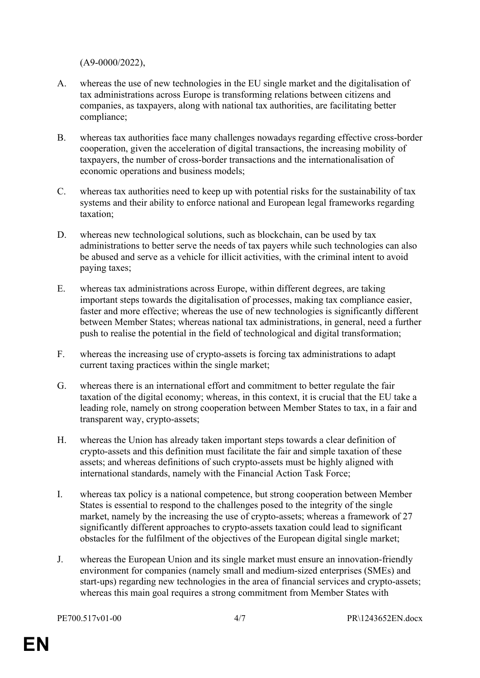(A9-0000/2022),

- A. whereas the use of new technologies in the EU single market and the digitalisation of tax administrations across Europe is transforming relations between citizens and companies, as taxpayers, along with national tax authorities, are facilitating better compliance;
- B. whereas tax authorities face many challenges nowadays regarding effective cross-border cooperation, given the acceleration of digital transactions, the increasing mobility of taxpayers, the number of cross-border transactions and the internationalisation of economic operations and business models;
- C. whereas tax authorities need to keep up with potential risks for the sustainability of tax systems and their ability to enforce national and European legal frameworks regarding taxation;
- D. whereas new technological solutions, such as blockchain, can be used by tax administrations to better serve the needs of tax payers while such technologies can also be abused and serve as a vehicle for illicit activities, with the criminal intent to avoid paying taxes;
- E. whereas tax administrations across Europe, within different degrees, are taking important steps towards the digitalisation of processes, making tax compliance easier, faster and more effective; whereas the use of new technologies is significantly different between Member States; whereas national tax administrations, in general, need a further push to realise the potential in the field of technological and digital transformation;
- F. whereas the increasing use of crypto-assets is forcing tax administrations to adapt current taxing practices within the single market;
- G. whereas there is an international effort and commitment to better regulate the fair taxation of the digital economy; whereas, in this context, it is crucial that the EU take a leading role, namely on strong cooperation between Member States to tax, in a fair and transparent way, crypto-assets;
- H. whereas the Union has already taken important steps towards a clear definition of crypto-assets and this definition must facilitate the fair and simple taxation of these assets; and whereas definitions of such crypto-assets must be highly aligned with international standards, namely with the Financial Action Task Force;
- I. whereas tax policy is a national competence, but strong cooperation between Member States is essential to respond to the challenges posed to the integrity of the single market, namely by the increasing the use of crypto-assets; whereas a framework of 27 significantly different approaches to crypto-assets taxation could lead to significant obstacles for the fulfilment of the objectives of the European digital single market;
- J. whereas the European Union and its single market must ensure an innovation-friendly environment for companies (namely small and medium-sized enterprises (SMEs) and start-ups) regarding new technologies in the area of financial services and crypto-assets; whereas this main goal requires a strong commitment from Member States with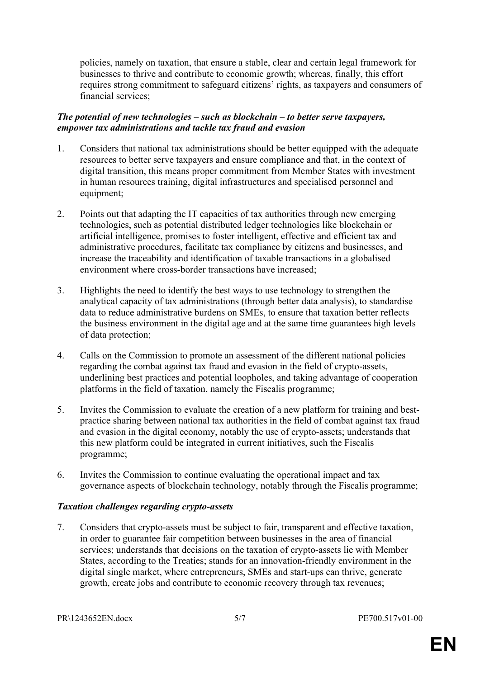policies, namely on taxation, that ensure a stable, clear and certain legal framework for businesses to thrive and contribute to economic growth; whereas, finally, this effort requires strong commitment to safeguard citizens' rights, as taxpayers and consumers of financial services;

#### *The potential of new technologies – such as blockchain – to better serve taxpayers, empower tax administrations and tackle tax fraud and evasion*

- 1. Considers that national tax administrations should be better equipped with the adequate resources to better serve taxpayers and ensure compliance and that, in the context of digital transition, this means proper commitment from Member States with investment in human resources training, digital infrastructures and specialised personnel and equipment;
- 2. Points out that adapting the IT capacities of tax authorities through new emerging technologies, such as potential distributed ledger technologies like blockchain or artificial intelligence, promises to foster intelligent, effective and efficient tax and administrative procedures, facilitate tax compliance by citizens and businesses, and increase the traceability and identification of taxable transactions in a globalised environment where cross-border transactions have increased;
- 3. Highlights the need to identify the best ways to use technology to strengthen the analytical capacity of tax administrations (through better data analysis), to standardise data to reduce administrative burdens on SMEs, to ensure that taxation better reflects the business environment in the digital age and at the same time guarantees high levels of data protection;
- 4. Calls on the Commission to promote an assessment of the different national policies regarding the combat against tax fraud and evasion in the field of crypto-assets, underlining best practices and potential loopholes, and taking advantage of cooperation platforms in the field of taxation, namely the Fiscalis programme;
- 5. Invites the Commission to evaluate the creation of a new platform for training and bestpractice sharing between national tax authorities in the field of combat against tax fraud and evasion in the digital economy, notably the use of crypto-assets; understands that this new platform could be integrated in current initiatives, such the Fiscalis programme;
- 6. Invites the Commission to continue evaluating the operational impact and tax governance aspects of blockchain technology, notably through the Fiscalis programme;

#### *Taxation challenges regarding crypto-assets*

7. Considers that crypto-assets must be subject to fair, transparent and effective taxation, in order to guarantee fair competition between businesses in the area of financial services; understands that decisions on the taxation of crypto-assets lie with Member States, according to the Treaties; stands for an innovation-friendly environment in the digital single market, where entrepreneurs, SMEs and start-ups can thrive, generate growth, create jobs and contribute to economic recovery through tax revenues;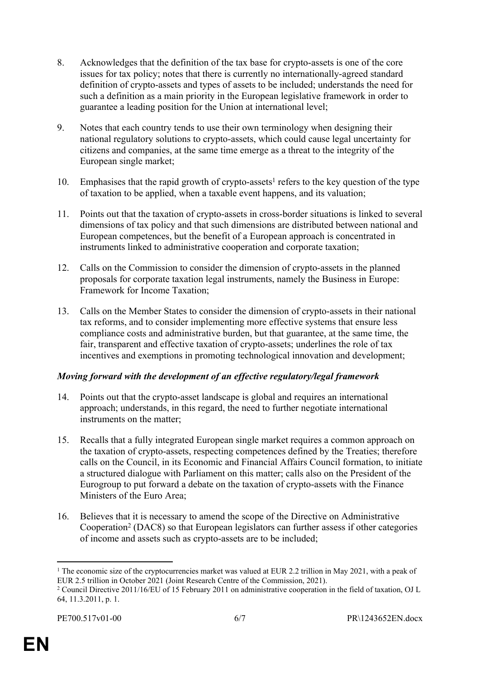- 8. Acknowledges that the definition of the tax base for crypto-assets is one of the core issues for tax policy; notes that there is currently no internationally-agreed standard definition of crypto-assets and types of assets to be included; understands the need for such a definition as a main priority in the European legislative framework in order to guarantee a leading position for the Union at international level;
- 9. Notes that each country tends to use their own terminology when designing their national regulatory solutions to crypto-assets, which could cause legal uncertainty for citizens and companies, at the same time emerge as a threat to the integrity of the European single market;
- 10. Emphasises that the rapid growth of crypto-assets<sup>1</sup> refers to the key question of the type of taxation to be applied, when a taxable event happens, and its valuation;
- 11. Points out that the taxation of crypto-assets in cross-border situations is linked to several dimensions of tax policy and that such dimensions are distributed between national and European competences, but the benefit of a European approach is concentrated in instruments linked to administrative cooperation and corporate taxation;
- 12. Calls on the Commission to consider the dimension of crypto-assets in the planned proposals for corporate taxation legal instruments, namely the Business in Europe: Framework for Income Taxation;
- 13. Calls on the Member States to consider the dimension of crypto-assets in their national tax reforms, and to consider implementing more effective systems that ensure less compliance costs and administrative burden, but that guarantee, at the same time, the fair, transparent and effective taxation of crypto-assets; underlines the role of tax incentives and exemptions in promoting technological innovation and development;

## *Moving forward with the development of an effective regulatory/legal framework*

- 14. Points out that the crypto-asset landscape is global and requires an international approach; understands, in this regard, the need to further negotiate international instruments on the matter;
- 15. Recalls that a fully integrated European single market requires a common approach on the taxation of crypto-assets, respecting competences defined by the Treaties; therefore calls on the Council, in its Economic and Financial Affairs Council formation, to initiate a structured dialogue with Parliament on this matter; calls also on the President of the Eurogroup to put forward a debate on the taxation of crypto-assets with the Finance Ministers of the Euro Area;
- 16. Believes that it is necessary to amend the scope of the Directive on Administrative Cooperation<sup>2</sup> (DAC8) so that European legislators can further assess if other categories of income and assets such as crypto-assets are to be included;

<sup>&</sup>lt;sup>1</sup> The economic size of the cryptocurrencies market was valued at EUR 2.2 trillion in May 2021, with a peak of EUR 2.5 trillion in October 2021 (Joint Research Centre of the Commission, 2021).

<sup>&</sup>lt;sup>2</sup> Council Directive 2011/16/EU of 15 February 2011 on administrative cooperation in the field of taxation, OJ L 64, 11.3.2011, p. 1.